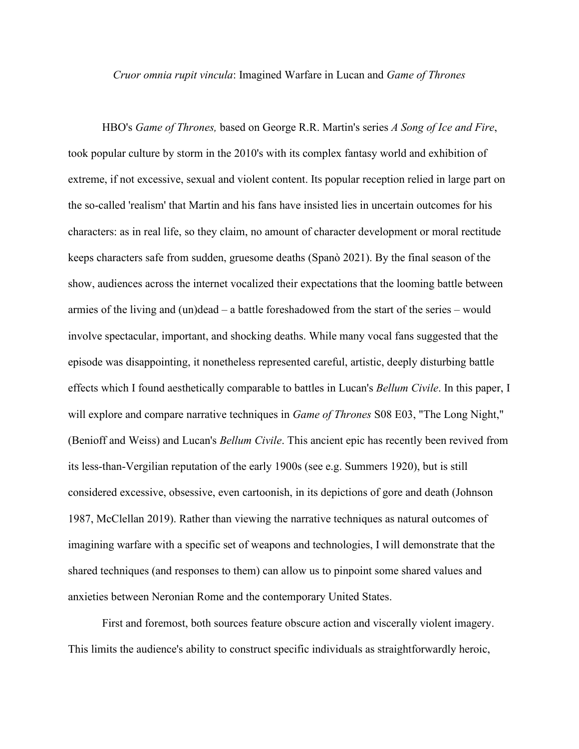*Cruor omnia rupit vincula*: Imagined Warfare in Lucan and *Game of Thrones*

HBO's *Game of Thrones,* based on George R.R. Martin's series *A Song of Ice and Fire*, took popular culture by storm in the 2010's with its complex fantasy world and exhibition of extreme, if not excessive, sexual and violent content. Its popular reception relied in large part on the so-called 'realism' that Martin and his fans have insisted lies in uncertain outcomes for his characters: as in real life, so they claim, no amount of character development or moral rectitude keeps characters safe from sudden, gruesome deaths (Spanò 2021). By the final season of the show, audiences across the internet vocalized their expectations that the looming battle between armies of the living and (un)dead – a battle foreshadowed from the start of the series – would involve spectacular, important, and shocking deaths. While many vocal fans suggested that the episode was disappointing, it nonetheless represented careful, artistic, deeply disturbing battle effects which I found aesthetically comparable to battles in Lucan's *Bellum Civile*. In this paper, I will explore and compare narrative techniques in *Game of Thrones* S08 E03, "The Long Night," (Benioff and Weiss) and Lucan's *Bellum Civile*. This ancient epic has recently been revived from its less-than-Vergilian reputation of the early 1900s (see e.g. Summers 1920), but is still considered excessive, obsessive, even cartoonish, in its depictions of gore and death (Johnson 1987, McClellan 2019). Rather than viewing the narrative techniques as natural outcomes of imagining warfare with a specific set of weapons and technologies, I will demonstrate that the shared techniques (and responses to them) can allow us to pinpoint some shared values and anxieties between Neronian Rome and the contemporary United States.

First and foremost, both sources feature obscure action and viscerally violent imagery. This limits the audience's ability to construct specific individuals as straightforwardly heroic,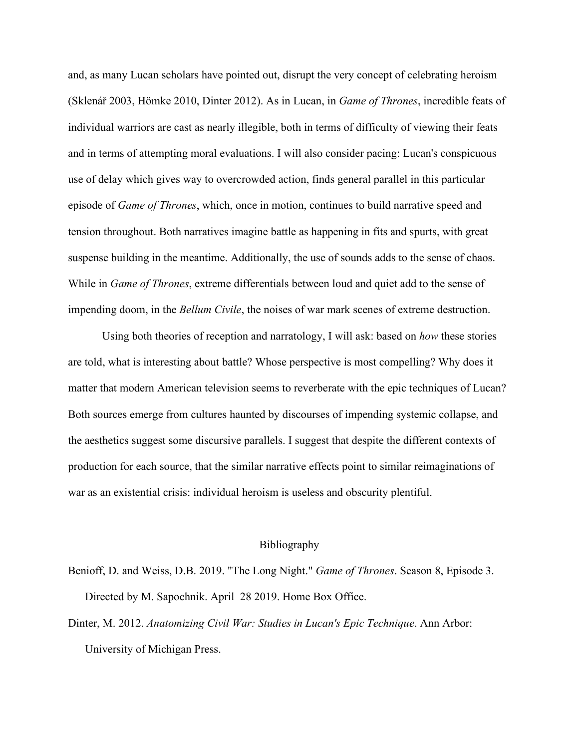and, as many Lucan scholars have pointed out, disrupt the very concept of celebrating heroism (Sklenář 2003, Hömke 2010, Dinter 2012). As in Lucan, in *Game of Thrones*, incredible feats of individual warriors are cast as nearly illegible, both in terms of difficulty of viewing their feats and in terms of attempting moral evaluations. I will also consider pacing: Lucan's conspicuous use of delay which gives way to overcrowded action, finds general parallel in this particular episode of *Game of Thrones*, which, once in motion, continues to build narrative speed and tension throughout. Both narratives imagine battle as happening in fits and spurts, with great suspense building in the meantime. Additionally, the use of sounds adds to the sense of chaos. While in *Game of Thrones*, extreme differentials between loud and quiet add to the sense of impending doom, in the *Bellum Civile*, the noises of war mark scenes of extreme destruction.

Using both theories of reception and narratology, I will ask: based on *how* these stories are told, what is interesting about battle? Whose perspective is most compelling? Why does it matter that modern American television seems to reverberate with the epic techniques of Lucan? Both sources emerge from cultures haunted by discourses of impending systemic collapse, and the aesthetics suggest some discursive parallels. I suggest that despite the different contexts of production for each source, that the similar narrative effects point to similar reimaginations of war as an existential crisis: individual heroism is useless and obscurity plentiful.

## Bibliography

- Benioff, D. and Weiss, D.B. 2019. "The Long Night." *Game of Thrones*. Season 8, Episode 3. Directed by M. Sapochnik. April 28 2019. Home Box Office.
- Dinter, M. 2012. *Anatomizing Civil War: Studies in Lucan's Epic Technique*. Ann Arbor: University of Michigan Press.